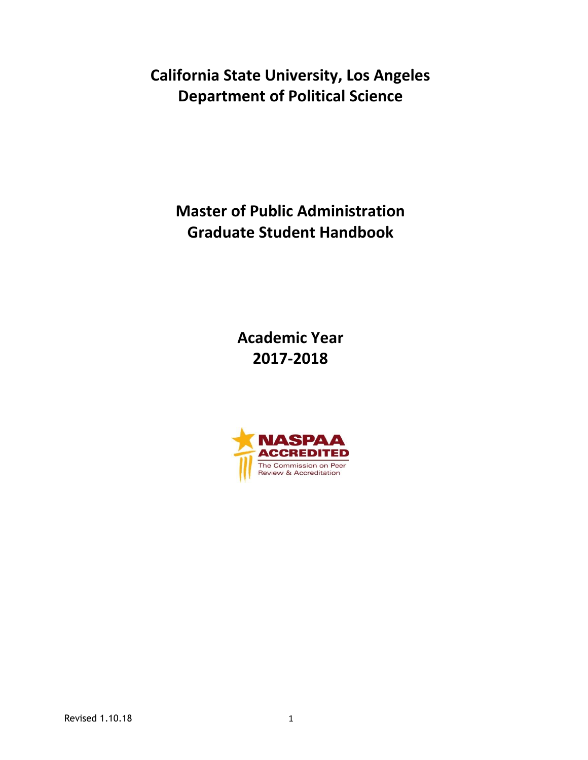**California State University, Los Angeles Department of Political Science**

**Master of Public Administration Graduate Student Handbook**

> **Academic Year 2017-2018**

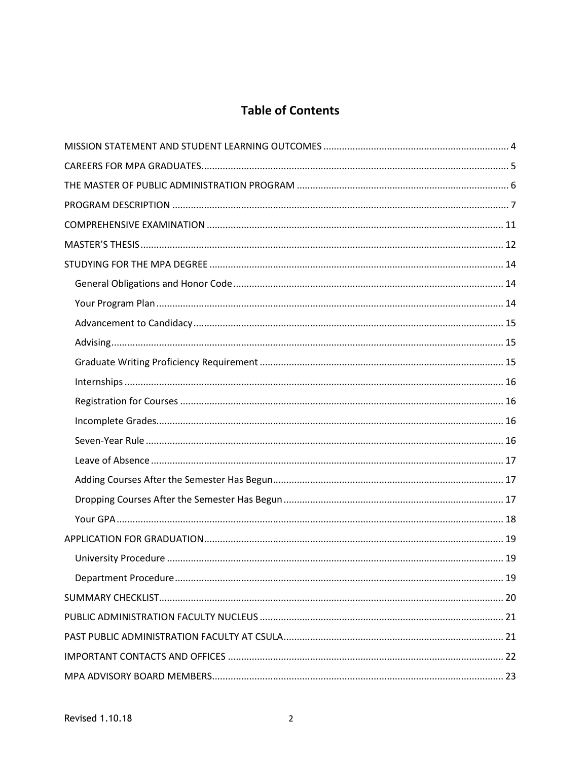# **Table of Contents**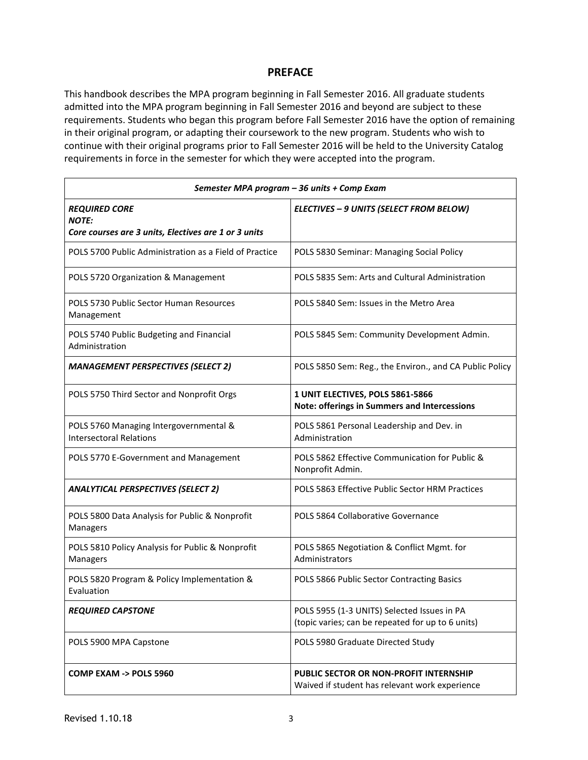### **PREFACE**

This handbook describes the MPA program beginning in Fall Semester 2016. All graduate students admitted into the MPA program beginning in Fall Semester 2016 and beyond are subject to these requirements. Students who began this program before Fall Semester 2016 have the option of remaining in their original program, or adapting their coursework to the new program. Students who wish to continue with their original programs prior to Fall Semester 2016 will be held to the University Catalog requirements in force in the semester for which they were accepted into the program.

| Semester MPA program - 36 units + Comp Exam                              |                                                                                                  |  |  |  |  |
|--------------------------------------------------------------------------|--------------------------------------------------------------------------------------------------|--|--|--|--|
| <b>REQUIRED CORE</b><br><b>NOTE:</b>                                     | ELECTIVES - 9 UNITS (SELECT FROM BELOW)                                                          |  |  |  |  |
| Core courses are 3 units, Electives are 1 or 3 units                     |                                                                                                  |  |  |  |  |
| POLS 5700 Public Administration as a Field of Practice                   | POLS 5830 Seminar: Managing Social Policy                                                        |  |  |  |  |
| POLS 5720 Organization & Management                                      | POLS 5835 Sem: Arts and Cultural Administration                                                  |  |  |  |  |
| POLS 5730 Public Sector Human Resources<br>Management                    | POLS 5840 Sem: Issues in the Metro Area                                                          |  |  |  |  |
| POLS 5740 Public Budgeting and Financial<br>Administration               | POLS 5845 Sem: Community Development Admin.                                                      |  |  |  |  |
| <b>MANAGEMENT PERSPECTIVES (SELECT 2)</b>                                | POLS 5850 Sem: Reg., the Environ., and CA Public Policy                                          |  |  |  |  |
| POLS 5750 Third Sector and Nonprofit Orgs                                | 1 UNIT ELECTIVES, POLS 5861-5866<br><b>Note: offerings in Summers and Intercessions</b>          |  |  |  |  |
| POLS 5760 Managing Intergovernmental &<br><b>Intersectoral Relations</b> | POLS 5861 Personal Leadership and Dev. in<br>Administration                                      |  |  |  |  |
| POLS 5770 E-Government and Management                                    | POLS 5862 Effective Communication for Public &<br>Nonprofit Admin.                               |  |  |  |  |
| <b>ANALYTICAL PERSPECTIVES (SELECT 2)</b>                                | POLS 5863 Effective Public Sector HRM Practices                                                  |  |  |  |  |
| POLS 5800 Data Analysis for Public & Nonprofit<br>Managers               | POLS 5864 Collaborative Governance                                                               |  |  |  |  |
| POLS 5810 Policy Analysis for Public & Nonprofit<br>Managers             | POLS 5865 Negotiation & Conflict Mgmt. for<br>Administrators                                     |  |  |  |  |
| POLS 5820 Program & Policy Implementation &<br>Evaluation                | POLS 5866 Public Sector Contracting Basics                                                       |  |  |  |  |
| <b>REQUIRED CAPSTONE</b>                                                 | POLS 5955 (1-3 UNITS) Selected Issues in PA<br>(topic varies; can be repeated for up to 6 units) |  |  |  |  |
| POLS 5900 MPA Capstone                                                   | POLS 5980 Graduate Directed Study                                                                |  |  |  |  |
| COMP EXAM -> POLS 5960                                                   | <b>PUBLIC SECTOR OR NON-PROFIT INTERNSHIP</b><br>Waived if student has relevant work experience  |  |  |  |  |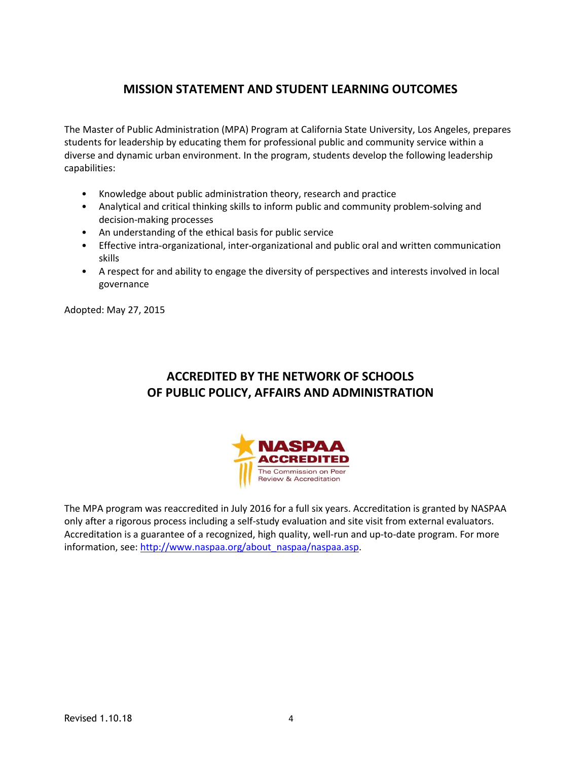# **MISSION STATEMENT AND STUDENT LEARNING OUTCOMES**

The Master of Public Administration (MPA) Program at California State University, Los Angeles, prepares students for leadership by educating them for professional public and community service within a diverse and dynamic urban environment. In the program, students develop the following leadership capabilities:

- Knowledge about public administration theory, research and practice
- Analytical and critical thinking skills to inform public and community problem-solving and decision-making processes
- An understanding of the ethical basis for public service
- Effective intra-organizational, inter-organizational and public oral and written communication skills
- A respect for and ability to engage the diversity of perspectives and interests involved in local governance

Adopted: May 27, 2015

# **ACCREDITED BY THE NETWORK OF SCHOOLS OF PUBLIC POLICY, AFFAIRS AND ADMINISTRATION**



The MPA program was reaccredited in July 2016 for a full six years. Accreditation is granted by NASPAA only after a rigorous process including a self-study evaluation and site visit from external evaluators. Accreditation is a guarantee of a recognized, high quality, well-run and up-to-date program. For more information, see: [http://www.naspaa.org/about\\_naspaa/naspaa.asp.](http://www.naspaa.org/about_naspaa/naspaa.asp)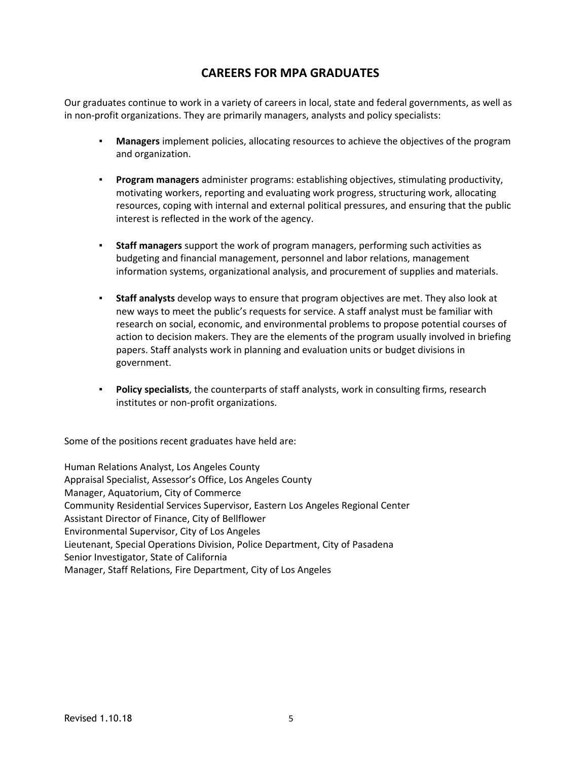# **CAREERS FOR MPA GRADUATES**

Our graduates continue to work in a variety of careers in local, state and federal governments, as well as in non-profit organizations. They are primarily managers, analysts and policy specialists:

- **Managers** implement policies, allocating resources to achieve the objectives of the program and organization.
- **▪ Program managers** administer programs: establishing objectives, stimulating productivity, motivating workers, reporting and evaluating work progress, structuring work, allocating resources, coping with internal and external political pressures, and ensuring that the public interest is reflected in the work of the agency.
- **▪ Staff managers** support the work of program managers, performing such activities as budgeting and financial management, personnel and labor relations, management information systems, organizational analysis, and procurement of supplies and materials.
- **▪ Staff analysts** develop ways to ensure that program objectives are met. They also look at new ways to meet the public's requests for service. A staff analyst must be familiar with research on social, economic, and environmental problems to propose potential courses of action to decision makers. They are the elements of the program usually involved in briefing papers. Staff analysts work in planning and evaluation units or budget divisions in government.
- **▪ Policy specialists**, the counterparts of staff analysts, work in consulting firms, research institutes or non-profit organizations.

Some of the positions recent graduates have held are:

Human Relations Analyst, Los Angeles County Appraisal Specialist, Assessor's Office, Los Angeles County Manager, Aquatorium, City of Commerce Community Residential Services Supervisor, Eastern Los Angeles Regional Center Assistant Director of Finance, City of Bellflower Environmental Supervisor, City of Los Angeles Lieutenant, Special Operations Division, Police Department, City of Pasadena Senior Investigator, State of California Manager, Staff Relations, Fire Department, City of Los Angeles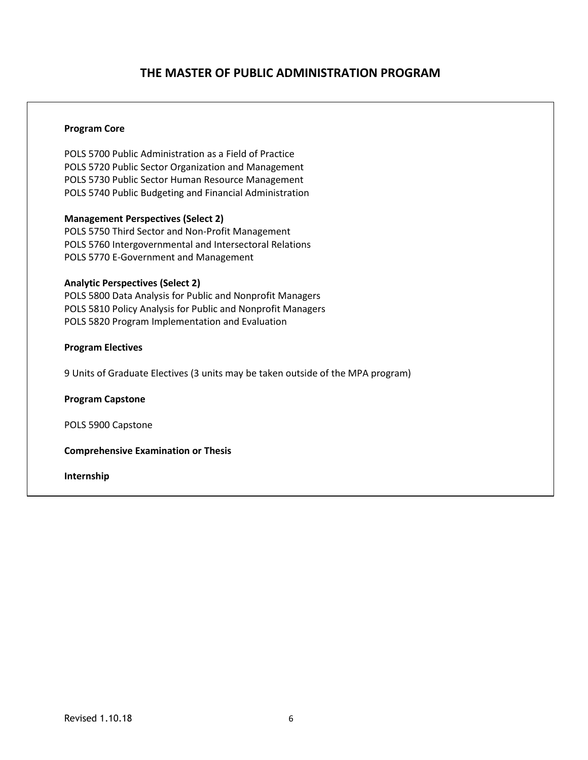## **THE MASTER OF PUBLIC ADMINISTRATION PROGRAM**

#### **Program Core**

POLS 5700 Public Administration as a Field of Practice POLS 5720 Public Sector Organization and Management POLS 5730 Public Sector Human Resource Management POLS 5740 Public Budgeting and Financial Administration

#### **Management Perspectives (Select 2)**

POLS 5750 Third Sector and Non-Profit Management POLS 5760 Intergovernmental and Intersectoral Relations POLS 5770 E-Government and Management

#### **Analytic Perspectives (Select 2)**

POLS 5800 Data Analysis for Public and Nonprofit Managers POLS 5810 Policy Analysis for Public and Nonprofit Managers POLS 5820 Program Implementation and Evaluation

### **Program Electives**

9 Units of Graduate Electives (3 units may be taken outside of the MPA program)

**Program Capstone**

POLS 5900 Capstone

**Comprehensive Examination or Thesis**

**Internship**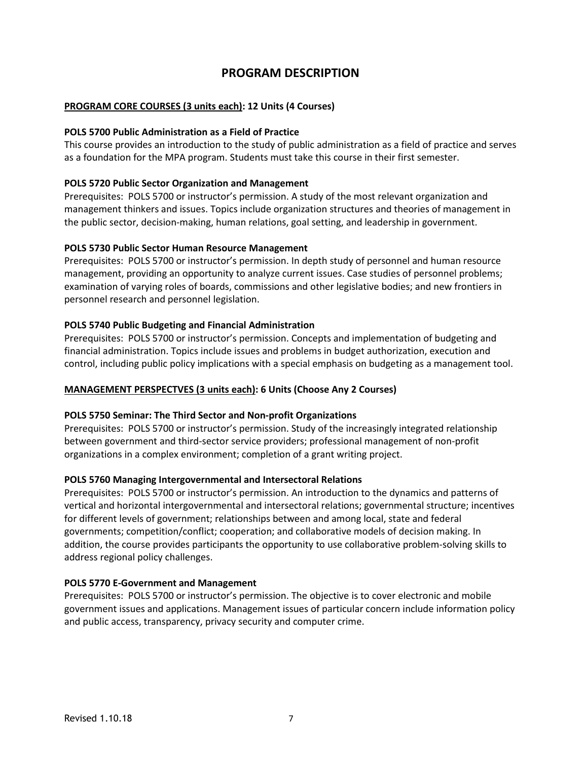## **PROGRAM DESCRIPTION**

### **PROGRAM CORE COURSES (3 units each): 12 Units (4 Courses)**

#### **POLS 5700 Public Administration as a Field of Practice**

This course provides an introduction to the study of public administration as a field of practice and serves as a foundation for the MPA program. Students must take this course in their first semester.

#### **POLS 5720 Public Sector Organization and Management**

Prerequisites: POLS 5700 or instructor's permission. A study of the most relevant organization and management thinkers and issues. Topics include organization structures and theories of management in the public sector, decision-making, human relations, goal setting, and leadership in government.

#### **POLS 5730 Public Sector Human Resource Management**

Prerequisites: POLS 5700 or instructor's permission. In depth study of personnel and human resource management, providing an opportunity to analyze current issues. Case studies of personnel problems; examination of varying roles of boards, commissions and other legislative bodies; and new frontiers in personnel research and personnel legislation.

#### **POLS 5740 Public Budgeting and Financial Administration**

Prerequisites: POLS 5700 or instructor's permission. Concepts and implementation of budgeting and financial administration. Topics include issues and problems in budget authorization, execution and control, including public policy implications with a special emphasis on budgeting as a management tool.

#### **MANAGEMENT PERSPECTVES (3 units each): 6 Units (Choose Any 2 Courses)**

#### **POLS 5750 Seminar: The Third Sector and Non-profit Organizations**

Prerequisites: POLS 5700 or instructor's permission. Study of the increasingly integrated relationship between government and third-sector service providers; professional management of non-profit organizations in a complex environment; completion of a grant writing project.

#### **POLS 5760 Managing Intergovernmental and Intersectoral Relations**

Prerequisites: POLS 5700 or instructor's permission. An introduction to the dynamics and patterns of vertical and horizontal intergovernmental and intersectoral relations; governmental structure; incentives for different levels of government; relationships between and among local, state and federal governments; competition/conflict; cooperation; and collaborative models of decision making. In addition, the course provides participants the opportunity to use collaborative problem-solving skills to address regional policy challenges.

#### **POLS 5770 E-Government and Management**

Prerequisites: POLS 5700 or instructor's permission. The objective is to cover electronic and mobile government issues and applications. Management issues of particular concern include information policy and public access, transparency, privacy security and computer crime.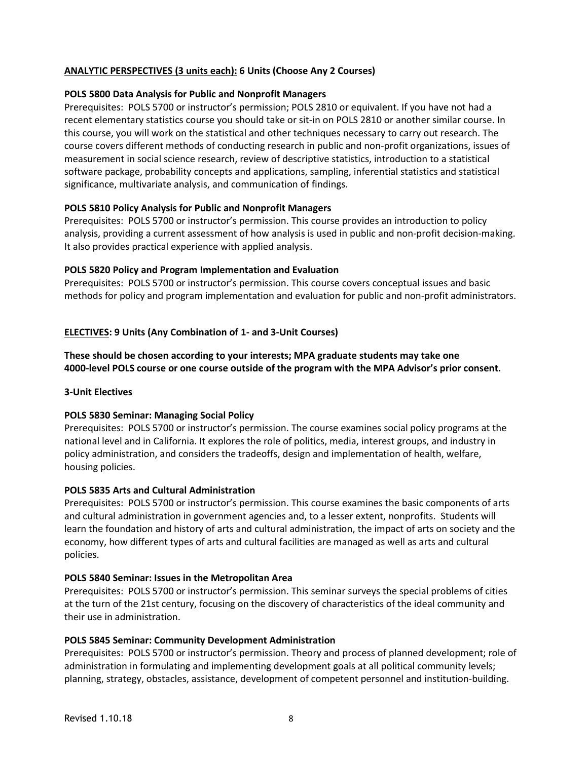### **ANALYTIC PERSPECTIVES (3 units each): 6 Units (Choose Any 2 Courses)**

#### **POLS 5800 Data Analysis for Public and Nonprofit Managers**

Prerequisites: POLS 5700 or instructor's permission; POLS 2810 or equivalent. If you have not had a recent elementary statistics course you should take or sit-in on POLS 2810 or another similar course. In this course, you will work on the statistical and other techniques necessary to carry out research. The course covers different methods of conducting research in public and non-profit organizations, issues of measurement in social science research, review of descriptive statistics, introduction to a statistical software package, probability concepts and applications, sampling, inferential statistics and statistical significance, multivariate analysis, and communication of findings.

#### **POLS 5810 Policy Analysis for Public and Nonprofit Managers**

Prerequisites: POLS 5700 or instructor's permission. This course provides an introduction to policy analysis, providing a current assessment of how analysis is used in public and non-profit decision-making. It also provides practical experience with applied analysis.

#### **POLS 5820 Policy and Program Implementation and Evaluation**

Prerequisites: POLS 5700 or instructor's permission. This course covers conceptual issues and basic methods for policy and program implementation and evaluation for public and non-profit administrators.

#### **ELECTIVES: 9 Units (Any Combination of 1- and 3-Unit Courses)**

**These should be chosen according to your interests; MPA graduate students may take one 4000-level POLS course or one course outside of the program with the MPA Advisor's prior consent.**

#### **3-Unit Electives**

#### **POLS 5830 Seminar: Managing Social Policy**

Prerequisites: POLS 5700 or instructor's permission. The course examines social policy programs at the national level and in California. It explores the role of politics, media, interest groups, and industry in policy administration, and considers the tradeoffs, design and implementation of health, welfare, housing policies.

#### **POLS 5835 Arts and Cultural Administration**

Prerequisites: POLS 5700 or instructor's permission. This course examines the basic components of arts and cultural administration in government agencies and, to a lesser extent, nonprofits. Students will learn the foundation and history of arts and cultural administration, the impact of arts on society and the economy, how different types of arts and cultural facilities are managed as well as arts and cultural policies.

#### **POLS 5840 Seminar: Issues in the Metropolitan Area**

Prerequisites: POLS 5700 or instructor's permission. This seminar surveys the special problems of cities at the turn of the 21st century, focusing on the discovery of characteristics of the ideal community and their use in administration.

#### **POLS 5845 Seminar: Community Development Administration**

Prerequisites: POLS 5700 or instructor's permission. Theory and process of planned development; role of administration in formulating and implementing development goals at all political community levels; planning, strategy, obstacles, assistance, development of competent personnel and institution-building.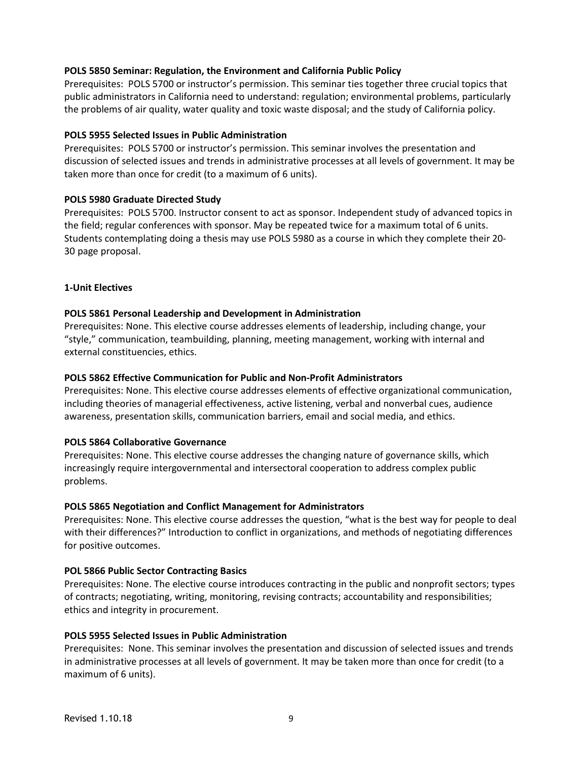#### **POLS 5850 Seminar: Regulation, the Environment and California Public Policy**

Prerequisites: POLS 5700 or instructor's permission. This seminar ties together three crucial topics that public administrators in California need to understand: regulation; environmental problems, particularly the problems of air quality, water quality and toxic waste disposal; and the study of California policy.

#### **POLS 5955 Selected Issues in Public Administration**

Prerequisites: POLS 5700 or instructor's permission. This seminar involves the presentation and discussion of selected issues and trends in administrative processes at all levels of government. It may be taken more than once for credit (to a maximum of 6 units).

### **POLS 5980 Graduate Directed Study**

Prerequisites: POLS 5700. Instructor consent to act as sponsor. Independent study of advanced topics in the field; regular conferences with sponsor. May be repeated twice for a maximum total of 6 units. Students contemplating doing a thesis may use POLS 5980 as a course in which they complete their 20- 30 page proposal.

### **1-Unit Electives**

### **POLS 5861 Personal Leadership and Development in Administration**

Prerequisites: None. This elective course addresses elements of leadership, including change, your "style," communication, teambuilding, planning, meeting management, working with internal and external constituencies, ethics.

### **POLS 5862 Effective Communication for Public and Non-Profit Administrators**

Prerequisites: None. This elective course addresses elements of effective organizational communication, including theories of managerial effectiveness, active listening, verbal and nonverbal cues, audience awareness, presentation skills, communication barriers, email and social media, and ethics.

#### **POLS 5864 Collaborative Governance**

Prerequisites: None. This elective course addresses the changing nature of governance skills, which increasingly require intergovernmental and intersectoral cooperation to address complex public problems.

#### **POLS 5865 Negotiation and Conflict Management for Administrators**

Prerequisites: None. This elective course addresses the question, "what is the best way for people to deal with their differences?" Introduction to conflict in organizations, and methods of negotiating differences for positive outcomes.

#### **POL 5866 Public Sector Contracting Basics**

Prerequisites: None. The elective course introduces contracting in the public and nonprofit sectors; types of contracts; negotiating, writing, monitoring, revising contracts; accountability and responsibilities; ethics and integrity in procurement.

#### **POLS 5955 Selected Issues in Public Administration**

Prerequisites: None. This seminar involves the presentation and discussion of selected issues and trends in administrative processes at all levels of government. It may be taken more than once for credit (to a maximum of 6 units).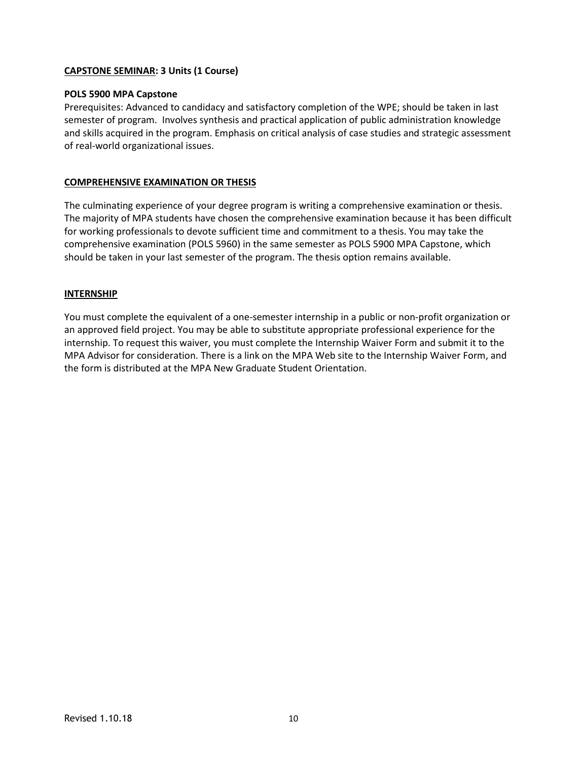### **CAPSTONE SEMINAR: 3 Units (1 Course)**

### **POLS 5900 MPA Capstone**

Prerequisites: Advanced to candidacy and satisfactory completion of the WPE; should be taken in last semester of program. Involves synthesis and practical application of public administration knowledge and skills acquired in the program. Emphasis on critical analysis of case studies and strategic assessment of real-world organizational issues.

### **COMPREHENSIVE EXAMINATION OR THESIS**

The culminating experience of your degree program is writing a comprehensive examination or thesis. The majority of MPA students have chosen the comprehensive examination because it has been difficult for working professionals to devote sufficient time and commitment to a thesis. You may take the comprehensive examination (POLS 5960) in the same semester as POLS 5900 MPA Capstone, which should be taken in your last semester of the program. The thesis option remains available.

#### **INTERNSHIP**

You must complete the equivalent of a one-semester internship in a public or non-profit organization or an approved field project. You may be able to substitute appropriate professional experience for the internship. To request this waiver, you must complete the Internship Waiver Form and submit it to the MPA Advisor for consideration. There is a link on the MPA Web site to the Internship Waiver Form, and the form is distributed at the MPA New Graduate Student Orientation.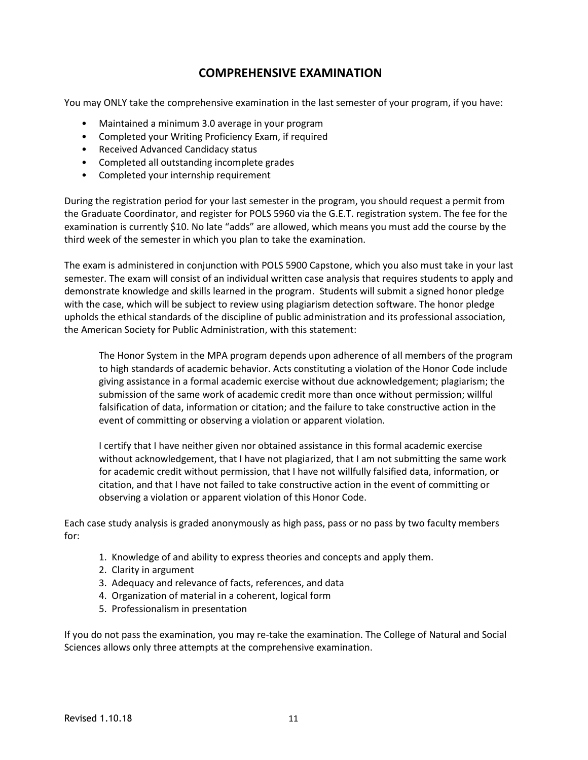## **COMPREHENSIVE EXAMINATION**

You may ONLY take the comprehensive examination in the last semester of your program, if you have:

- Maintained a minimum 3.0 average in your program
- Completed your Writing Proficiency Exam, if required
- Received Advanced Candidacy status
- Completed all outstanding incomplete grades
- Completed your internship requirement

During the registration period for your last semester in the program, you should request a permit from the Graduate Coordinator, and register for POLS 5960 via the G.E.T. registration system. The fee for the examination is currently \$10. No late "adds" are allowed, which means you must add the course by the third week of the semester in which you plan to take the examination.

The exam is administered in conjunction with POLS 5900 Capstone, which you also must take in your last semester. The exam will consist of an individual written case analysis that requires students to apply and demonstrate knowledge and skills learned in the program. Students will submit a signed honor pledge with the case, which will be subject to review using plagiarism detection software. The honor pledge upholds the ethical standards of the discipline of public administration and its professional association, the American Society for Public Administration, with this statement:

The Honor System in the MPA program depends upon adherence of all members of the program to high standards of academic behavior. Acts constituting a violation of the Honor Code include giving assistance in a formal academic exercise without due acknowledgement; plagiarism; the submission of the same work of academic credit more than once without permission; willful falsification of data, information or citation; and the failure to take constructive action in the event of committing or observing a violation or apparent violation.

I certify that I have neither given nor obtained assistance in this formal academic exercise without acknowledgement, that I have not plagiarized, that I am not submitting the same work for academic credit without permission, that I have not willfully falsified data, information, or citation, and that I have not failed to take constructive action in the event of committing or observing a violation or apparent violation of this Honor Code.

Each case study analysis is graded anonymously as high pass, pass or no pass by two faculty members for:

- 1. Knowledge of and ability to express theories and concepts and apply them.
- 2. Clarity in argument
- 3. Adequacy and relevance of facts, references, and data
- 4. Organization of material in a coherent, logical form
- 5. Professionalism in presentation

If you do not pass the examination, you may re-take the examination. The College of Natural and Social Sciences allows only three attempts at the comprehensive examination.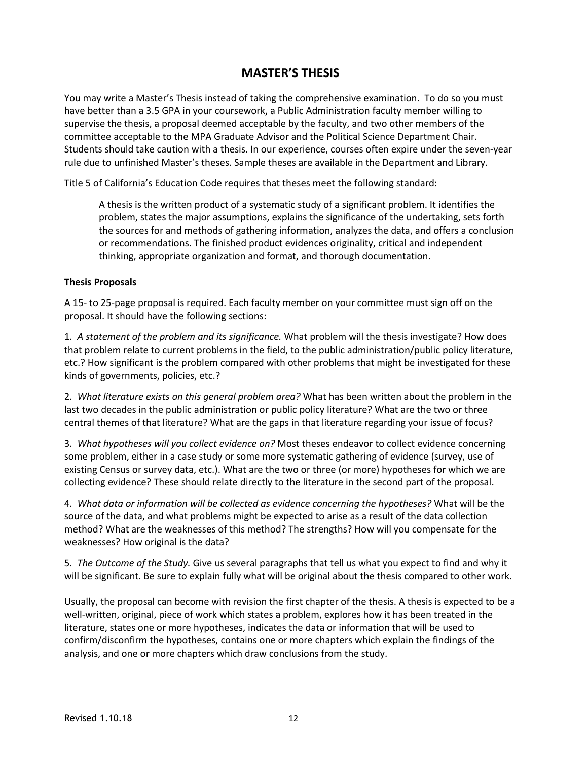## **MASTER'S THESIS**

You may write a Master's Thesis instead of taking the comprehensive examination. To do so you must have better than a 3.5 GPA in your coursework, a Public Administration faculty member willing to supervise the thesis, a proposal deemed acceptable by the faculty, and two other members of the committee acceptable to the MPA Graduate Advisor and the Political Science Department Chair. Students should take caution with a thesis. In our experience, courses often expire under the seven-year rule due to unfinished Master's theses. Sample theses are available in the Department and Library.

Title 5 of California's Education Code requires that theses meet the following standard:

A thesis is the written product of a systematic study of a significant problem. It identifies the problem, states the major assumptions, explains the significance of the undertaking, sets forth the sources for and methods of gathering information, analyzes the data, and offers a conclusion or recommendations. The finished product evidences originality, critical and independent thinking, appropriate organization and format, and thorough documentation.

#### **Thesis Proposals**

A 15- to 25-page proposal is required. Each faculty member on your committee must sign off on the proposal. It should have the following sections:

1. *A statement of the problem and its significance.* What problem will the thesis investigate? How does that problem relate to current problems in the field, to the public administration/public policy literature, etc.? How significant is the problem compared with other problems that might be investigated for these kinds of governments, policies, etc.?

2. *What literature exists on this general problem area?* What has been written about the problem in the last two decades in the public administration or public policy literature? What are the two or three central themes of that literature? What are the gaps in that literature regarding your issue of focus?

3. *What hypotheses will you collect evidence on?* Most theses endeavor to collect evidence concerning some problem, either in a case study or some more systematic gathering of evidence (survey, use of existing Census or survey data, etc.). What are the two or three (or more) hypotheses for which we are collecting evidence? These should relate directly to the literature in the second part of the proposal.

4. *What data or information will be collected as evidence concerning the hypotheses?* What will be the source of the data, and what problems might be expected to arise as a result of the data collection method? What are the weaknesses of this method? The strengths? How will you compensate for the weaknesses? How original is the data?

5. *The Outcome of the Study.* Give us several paragraphs that tell us what you expect to find and why it will be significant. Be sure to explain fully what will be original about the thesis compared to other work.

Usually, the proposal can become with revision the first chapter of the thesis. A thesis is expected to be a well-written, original, piece of work which states a problem, explores how it has been treated in the literature, states one or more hypotheses, indicates the data or information that will be used to confirm/disconfirm the hypotheses, contains one or more chapters which explain the findings of the analysis, and one or more chapters which draw conclusions from the study.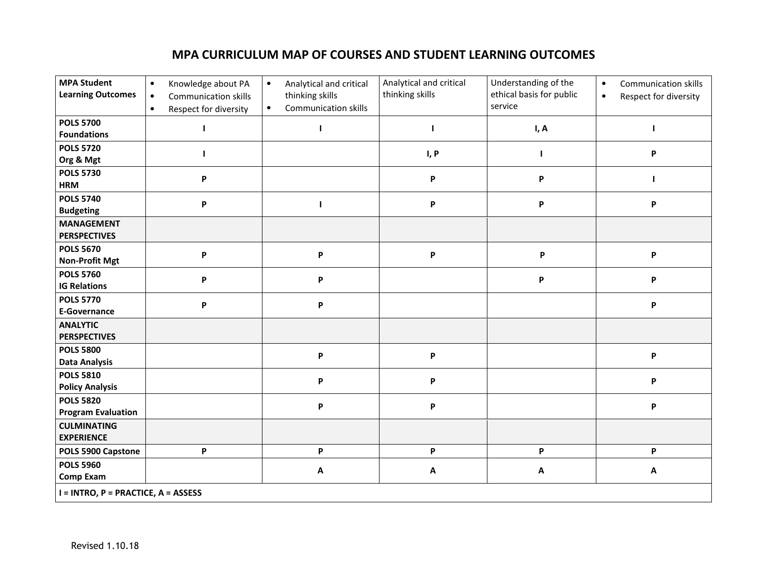# **MPA CURRICULUM MAP OF COURSES AND STUDENT LEARNING OUTCOMES**

| <b>MPA Student</b><br><b>Learning Outcomes</b> | Knowledge about PA<br>$\bullet$<br><b>Communication skills</b><br>$\bullet$<br>Respect for diversity<br>$\bullet$ | Analytical and critical<br>$\bullet$<br>thinking skills<br>Communication skills<br>$\bullet$ | Analytical and critical<br>thinking skills | Understanding of the<br>ethical basis for public<br>service | <b>Communication skills</b><br>$\bullet$<br>Respect for diversity<br>$\bullet$ |  |  |
|------------------------------------------------|-------------------------------------------------------------------------------------------------------------------|----------------------------------------------------------------------------------------------|--------------------------------------------|-------------------------------------------------------------|--------------------------------------------------------------------------------|--|--|
| <b>POLS 5700</b><br><b>Foundations</b>         |                                                                                                                   |                                                                                              |                                            | I, A                                                        |                                                                                |  |  |
| <b>POLS 5720</b><br>Org & Mgt                  |                                                                                                                   |                                                                                              | I, P                                       | п                                                           | P                                                                              |  |  |
| <b>POLS 5730</b><br><b>HRM</b>                 | P                                                                                                                 |                                                                                              | P                                          | P                                                           |                                                                                |  |  |
| <b>POLS 5740</b><br><b>Budgeting</b>           | P                                                                                                                 | ı                                                                                            | P                                          | P                                                           | P                                                                              |  |  |
| <b>MANAGEMENT</b><br><b>PERSPECTIVES</b>       |                                                                                                                   |                                                                                              |                                            |                                                             |                                                                                |  |  |
| <b>POLS 5670</b><br><b>Non-Profit Mgt</b>      | P                                                                                                                 | P                                                                                            | P                                          | P                                                           | P                                                                              |  |  |
| <b>POLS 5760</b><br><b>IG Relations</b>        | $\boldsymbol{\mathsf{P}}$                                                                                         | P                                                                                            |                                            | P                                                           | P                                                                              |  |  |
| <b>POLS 5770</b><br><b>E-Governance</b>        | P                                                                                                                 | P                                                                                            |                                            |                                                             | P                                                                              |  |  |
| <b>ANALYTIC</b><br><b>PERSPECTIVES</b>         |                                                                                                                   |                                                                                              |                                            |                                                             |                                                                                |  |  |
| <b>POLS 5800</b><br><b>Data Analysis</b>       |                                                                                                                   | P                                                                                            | P                                          |                                                             | P                                                                              |  |  |
| <b>POLS 5810</b><br><b>Policy Analysis</b>     |                                                                                                                   | P                                                                                            | P                                          |                                                             | P                                                                              |  |  |
| <b>POLS 5820</b><br><b>Program Evaluation</b>  |                                                                                                                   | P                                                                                            | P                                          |                                                             | P                                                                              |  |  |
| <b>CULMINATING</b><br><b>EXPERIENCE</b>        |                                                                                                                   |                                                                                              |                                            |                                                             |                                                                                |  |  |
| POLS 5900 Capstone                             | P                                                                                                                 | P                                                                                            | P                                          | P                                                           | P                                                                              |  |  |
| <b>POLS 5960</b><br><b>Comp Exam</b>           |                                                                                                                   | Α                                                                                            | Α                                          | $\boldsymbol{\mathsf{A}}$                                   | Α                                                                              |  |  |
| I = INTRO, P = PRACTICE, A = ASSESS            |                                                                                                                   |                                                                                              |                                            |                                                             |                                                                                |  |  |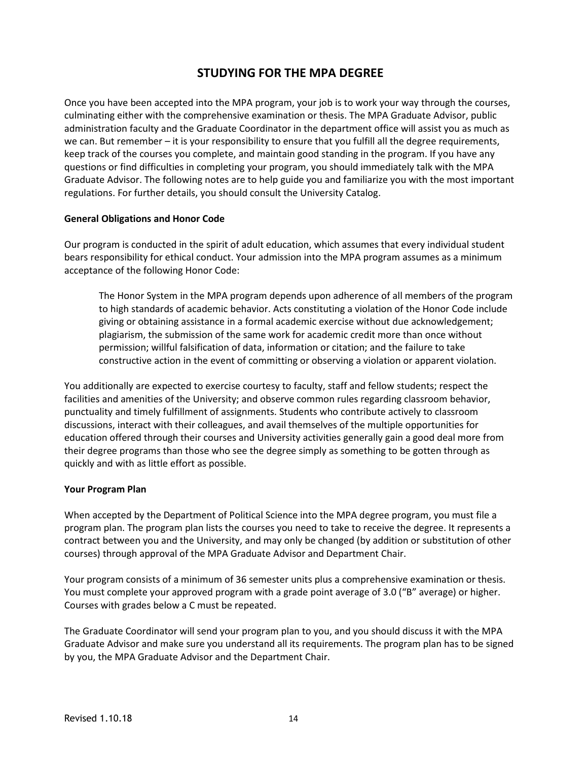## **STUDYING FOR THE MPA DEGREE**

Once you have been accepted into the MPA program, your job is to work your way through the courses, culminating either with the comprehensive examination or thesis. The MPA Graduate Advisor, public administration faculty and the Graduate Coordinator in the department office will assist you as much as we can. But remember – it is your responsibility to ensure that you fulfill all the degree requirements, keep track of the courses you complete, and maintain good standing in the program. If you have any questions or find difficulties in completing your program, you should immediately talk with the MPA Graduate Advisor. The following notes are to help guide you and familiarize you with the most important regulations. For further details, you should consult the University Catalog.

#### **General Obligations and Honor Code**

Our program is conducted in the spirit of adult education, which assumes that every individual student bears responsibility for ethical conduct. Your admission into the MPA program assumes as a minimum acceptance of the following Honor Code:

The Honor System in the MPA program depends upon adherence of all members of the program to high standards of academic behavior. Acts constituting a violation of the Honor Code include giving or obtaining assistance in a formal academic exercise without due acknowledgement; plagiarism, the submission of the same work for academic credit more than once without permission; willful falsification of data, information or citation; and the failure to take constructive action in the event of committing or observing a violation or apparent violation.

You additionally are expected to exercise courtesy to faculty, staff and fellow students; respect the facilities and amenities of the University; and observe common rules regarding classroom behavior, punctuality and timely fulfillment of assignments. Students who contribute actively to classroom discussions, interact with their colleagues, and avail themselves of the multiple opportunities for education offered through their courses and University activities generally gain a good deal more from their degree programs than those who see the degree simply as something to be gotten through as quickly and with as little effort as possible.

#### **Your Program Plan**

When accepted by the Department of Political Science into the MPA degree program, you must file a program plan. The program plan lists the courses you need to take to receive the degree. It represents a contract between you and the University, and may only be changed (by addition or substitution of other courses) through approval of the MPA Graduate Advisor and Department Chair.

Your program consists of a minimum of 36 semester units plus a comprehensive examination or thesis. You must complete your approved program with a grade point average of 3.0 ("B" average) or higher. Courses with grades below a C must be repeated.

The Graduate Coordinator will send your program plan to you, and you should discuss it with the MPA Graduate Advisor and make sure you understand all its requirements. The program plan has to be signed by you, the MPA Graduate Advisor and the Department Chair.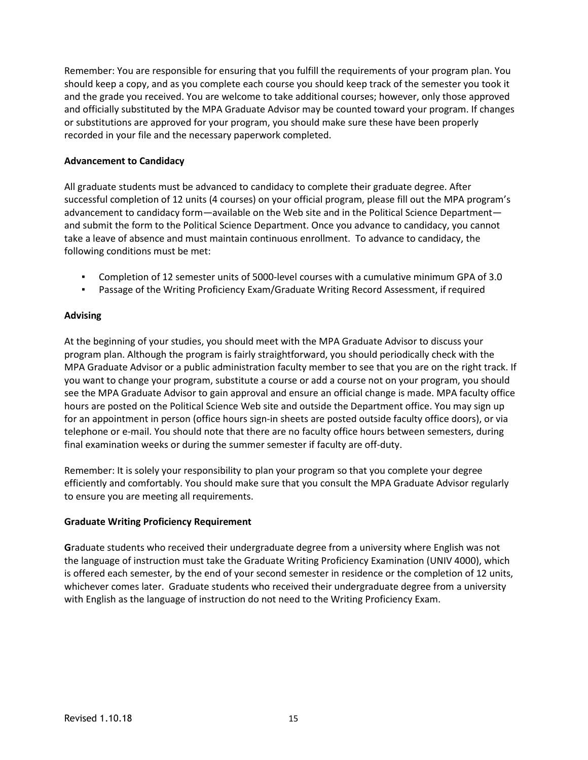Remember: You are responsible for ensuring that you fulfill the requirements of your program plan. You should keep a copy, and as you complete each course you should keep track of the semester you took it and the grade you received. You are welcome to take additional courses; however, only those approved and officially substituted by the MPA Graduate Advisor may be counted toward your program. If changes or substitutions are approved for your program, you should make sure these have been properly recorded in your file and the necessary paperwork completed.

### **Advancement to Candidacy**

All graduate students must be advanced to candidacy to complete their graduate degree. After successful completion of 12 units (4 courses) on your official program, please fill out the MPA program's advancement to candidacy form—available on the Web site and in the Political Science Department and submit the form to the Political Science Department. Once you advance to candidacy, you cannot take a leave of absence and must maintain continuous enrollment. To advance to candidacy, the following conditions must be met:

- Completion of 12 semester units of 5000-level courses with a cumulative minimum GPA of 3.0
- Passage of the Writing Proficiency Exam/Graduate Writing Record Assessment, if required

### **Advising**

At the beginning of your studies, you should meet with the MPA Graduate Advisor to discuss your program plan. Although the program is fairly straightforward, you should periodically check with the MPA Graduate Advisor or a public administration faculty member to see that you are on the right track. If you want to change your program, substitute a course or add a course not on your program, you should see the MPA Graduate Advisor to gain approval and ensure an official change is made. MPA faculty office hours are posted on the Political Science Web site and outside the Department office. You may sign up for an appointment in person (office hours sign-in sheets are posted outside faculty office doors), or via telephone or e-mail. You should note that there are no faculty office hours between semesters, during final examination weeks or during the summer semester if faculty are off-duty.

Remember: It is solely your responsibility to plan your program so that you complete your degree efficiently and comfortably. You should make sure that you consult the MPA Graduate Advisor regularly to ensure you are meeting all requirements.

#### **Graduate Writing Proficiency Requirement**

**G**raduate students who received their undergraduate degree from a university where English was not the language of instruction must take the Graduate Writing Proficiency Examination (UNIV 4000), which is offered each semester, by the end of your second semester in residence or the completion of 12 units, whichever comes later. Graduate students who received their undergraduate degree from a university with English as the language of instruction do not need to the Writing Proficiency Exam.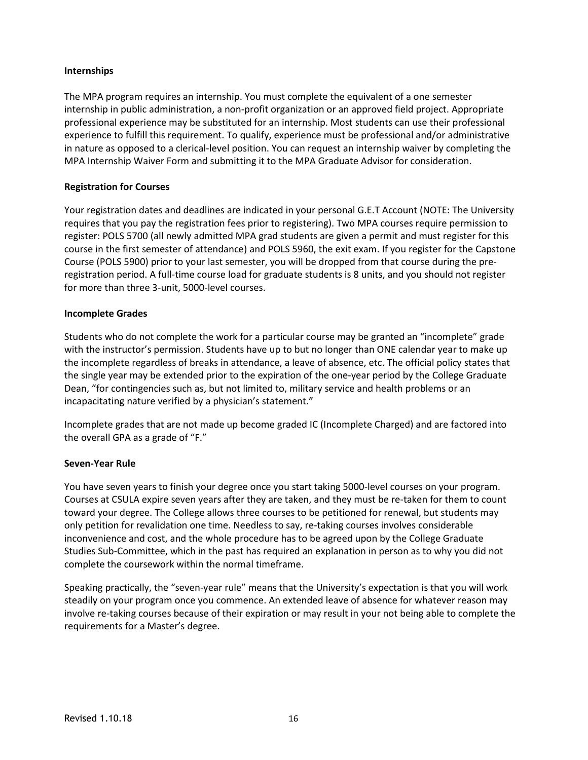### **Internships**

The MPA program requires an internship. You must complete the equivalent of a one semester internship in public administration, a non-profit organization or an approved field project. Appropriate professional experience may be substituted for an internship. Most students can use their professional experience to fulfill this requirement. To qualify, experience must be professional and/or administrative in nature as opposed to a clerical-level position. You can request an internship waiver by completing the MPA Internship Waiver Form and submitting it to the MPA Graduate Advisor for consideration.

### **Registration for Courses**

Your registration dates and deadlines are indicated in your personal G.E.T Account (NOTE: The University requires that you pay the registration fees prior to registering). Two MPA courses require permission to register: POLS 5700 (all newly admitted MPA grad students are given a permit and must register for this course in the first semester of attendance) and POLS 5960, the exit exam. If you register for the Capstone Course (POLS 5900) prior to your last semester, you will be dropped from that course during the preregistration period. A full-time course load for graduate students is 8 units, and you should not register for more than three 3-unit, 5000-level courses.

#### **Incomplete Grades**

Students who do not complete the work for a particular course may be granted an "incomplete" grade with the instructor's permission. Students have up to but no longer than ONE calendar year to make up the incomplete regardless of breaks in attendance, a leave of absence, etc. The official policy states that the single year may be extended prior to the expiration of the one-year period by the College Graduate Dean, "for contingencies such as, but not limited to, military service and health problems or an incapacitating nature verified by a physician's statement."

Incomplete grades that are not made up become graded IC (Incomplete Charged) and are factored into the overall GPA as a grade of "F."

#### **Seven-Year Rule**

You have seven years to finish your degree once you start taking 5000-level courses on your program. Courses at CSULA expire seven years after they are taken, and they must be re-taken for them to count toward your degree. The College allows three courses to be petitioned for renewal, but students may only petition for revalidation one time. Needless to say, re-taking courses involves considerable inconvenience and cost, and the whole procedure has to be agreed upon by the College Graduate Studies Sub-Committee, which in the past has required an explanation in person as to why you did not complete the coursework within the normal timeframe.

Speaking practically, the "seven-year rule" means that the University's expectation is that you will work steadily on your program once you commence. An extended leave of absence for whatever reason may involve re-taking courses because of their expiration or may result in your not being able to complete the requirements for a Master's degree.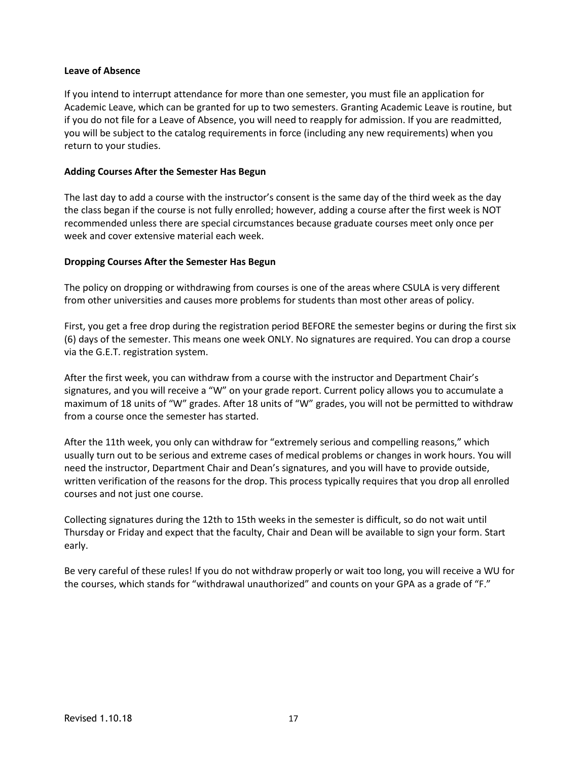#### **Leave of Absence**

If you intend to interrupt attendance for more than one semester, you must file an application for Academic Leave, which can be granted for up to two semesters. Granting Academic Leave is routine, but if you do not file for a Leave of Absence, you will need to reapply for admission. If you are readmitted, you will be subject to the catalog requirements in force (including any new requirements) when you return to your studies.

#### **Adding Courses After the Semester Has Begun**

The last day to add a course with the instructor's consent is the same day of the third week as the day the class began if the course is not fully enrolled; however, adding a course after the first week is NOT recommended unless there are special circumstances because graduate courses meet only once per week and cover extensive material each week.

#### **Dropping Courses After the Semester Has Begun**

The policy on dropping or withdrawing from courses is one of the areas where CSULA is very different from other universities and causes more problems for students than most other areas of policy.

First, you get a free drop during the registration period BEFORE the semester begins or during the first six (6) days of the semester. This means one week ONLY. No signatures are required. You can drop a course via the G.E.T. registration system.

After the first week, you can withdraw from a course with the instructor and Department Chair's signatures, and you will receive a "W" on your grade report. Current policy allows you to accumulate a maximum of 18 units of "W" grades. After 18 units of "W" grades, you will not be permitted to withdraw from a course once the semester has started.

After the 11th week, you only can withdraw for "extremely serious and compelling reasons," which usually turn out to be serious and extreme cases of medical problems or changes in work hours. You will need the instructor, Department Chair and Dean's signatures, and you will have to provide outside, written verification of the reasons for the drop. This process typically requires that you drop all enrolled courses and not just one course.

Collecting signatures during the 12th to 15th weeks in the semester is difficult, so do not wait until Thursday or Friday and expect that the faculty, Chair and Dean will be available to sign your form. Start early.

Be very careful of these rules! If you do not withdraw properly or wait too long, you will receive a WU for the courses, which stands for "withdrawal unauthorized" and counts on your GPA as a grade of "F."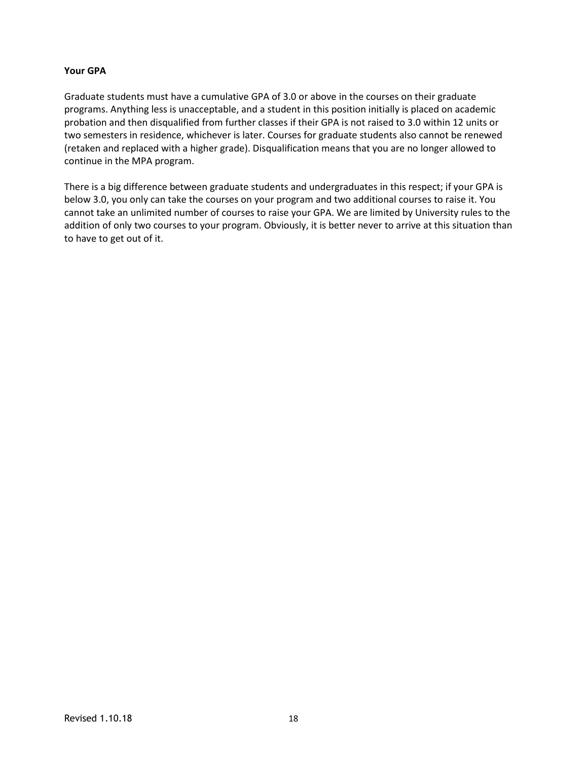### **Your GPA**

Graduate students must have a cumulative GPA of 3.0 or above in the courses on their graduate programs. Anything less is unacceptable, and a student in this position initially is placed on academic probation and then disqualified from further classes if their GPA is not raised to 3.0 within 12 units or two semesters in residence, whichever is later. Courses for graduate students also cannot be renewed (retaken and replaced with a higher grade). Disqualification means that you are no longer allowed to continue in the MPA program.

There is a big difference between graduate students and undergraduates in this respect; if your GPA is below 3.0, you only can take the courses on your program and two additional courses to raise it. You cannot take an unlimited number of courses to raise your GPA. We are limited by University rules to the addition of only two courses to your program. Obviously, it is better never to arrive at this situation than to have to get out of it.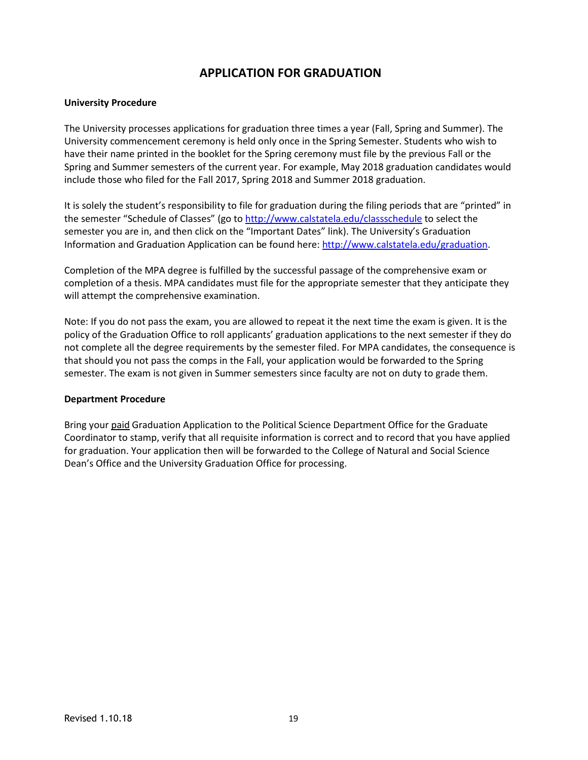## **APPLICATION FOR GRADUATION**

#### **University Procedure**

The University processes applications for graduation three times a year (Fall, Spring and Summer). The University commencement ceremony is held only once in the Spring Semester. Students who wish to have their name printed in the booklet for the Spring ceremony must file by the previous Fall or the Spring and Summer semesters of the current year. For example, May 2018 graduation candidates would include those who filed for the Fall 2017, Spring 2018 and Summer 2018 graduation.

It is solely the student's responsibility to file for graduation during the filing periods that are "printed" in the semester "Schedule of Classes" (go to <http://www.calstatela.edu/classschedule> to select the semester you are in, and then click on the "Important Dates" link). The University's Graduation Information and Graduation Application can be found here: [http://www.calstatela.edu/graduation.](http://www.calstatela.edu/graduation)

Completion of the MPA degree is fulfilled by the successful passage of the comprehensive exam or completion of a thesis. MPA candidates must file for the appropriate semester that they anticipate they will attempt the comprehensive examination.

Note: If you do not pass the exam, you are allowed to repeat it the next time the exam is given. It is the policy of the Graduation Office to roll applicants' graduation applications to the next semester if they do not complete all the degree requirements by the semester filed. For MPA candidates, the consequence is that should you not pass the comps in the Fall, your application would be forwarded to the Spring semester. The exam is not given in Summer semesters since faculty are not on duty to grade them.

#### **Department Procedure**

Bring your paid Graduation Application to the Political Science Department Office for the Graduate Coordinator to stamp, verify that all requisite information is correct and to record that you have applied for graduation. Your application then will be forwarded to the College of Natural and Social Science Dean's Office and the University Graduation Office for processing.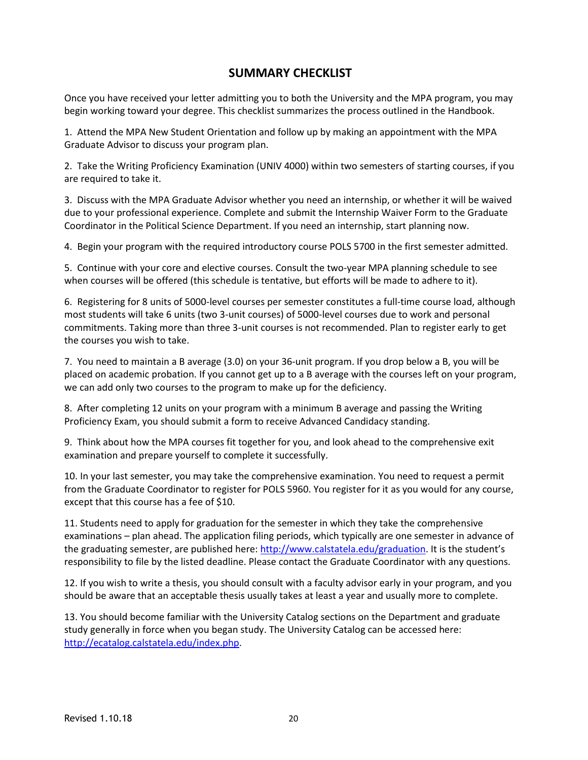## **SUMMARY CHECKLIST**

Once you have received your letter admitting you to both the University and the MPA program, you may begin working toward your degree. This checklist summarizes the process outlined in the Handbook.

1. Attend the MPA New Student Orientation and follow up by making an appointment with the MPA Graduate Advisor to discuss your program plan.

2. Take the Writing Proficiency Examination (UNIV 4000) within two semesters of starting courses, if you are required to take it.

3. Discuss with the MPA Graduate Advisor whether you need an internship, or whether it will be waived due to your professional experience. Complete and submit the Internship Waiver Form to the Graduate Coordinator in the Political Science Department. If you need an internship, start planning now.

4. Begin your program with the required introductory course POLS 5700 in the first semester admitted.

5. Continue with your core and elective courses. Consult the two-year MPA planning schedule to see when courses will be offered (this schedule is tentative, but efforts will be made to adhere to it).

6. Registering for 8 units of 5000-level courses per semester constitutes a full-time course load, although most students will take 6 units (two 3-unit courses) of 5000-level courses due to work and personal commitments. Taking more than three 3-unit courses is not recommended. Plan to register early to get the courses you wish to take.

7. You need to maintain a B average (3.0) on your 36-unit program. If you drop below a B, you will be placed on academic probation. If you cannot get up to a B average with the courses left on your program, we can add only two courses to the program to make up for the deficiency.

8. After completing 12 units on your program with a minimum B average and passing the Writing Proficiency Exam, you should submit a form to receive Advanced Candidacy standing.

9. Think about how the MPA courses fit together for you, and look ahead to the comprehensive exit examination and prepare yourself to complete it successfully.

10. In your last semester, you may take the comprehensive examination. You need to request a permit from the Graduate Coordinator to register for POLS 5960. You register for it as you would for any course, except that this course has a fee of \$10.

11. Students need to apply for graduation for the semester in which they take the comprehensive examinations – plan ahead. The application filing periods, which typically are one semester in advance of the graduating semester, are published here: [http://www.calstatela.edu/graduation.](http://www.calstatela.edu/graduation) It is the student's responsibility to file by the listed deadline. Please contact the Graduate Coordinator with any questions.

12. If you wish to write a thesis, you should consult with a faculty advisor early in your program, and you should be aware that an acceptable thesis usually takes at least a year and usually more to complete.

13. You should become familiar with the University Catalog sections on the Department and graduate study generally in force when you began study. The University Catalog can be accessed here: [http://ecatalog.calstatela.edu/index.php.](http://ecatalog.calstatela.edu/index.php)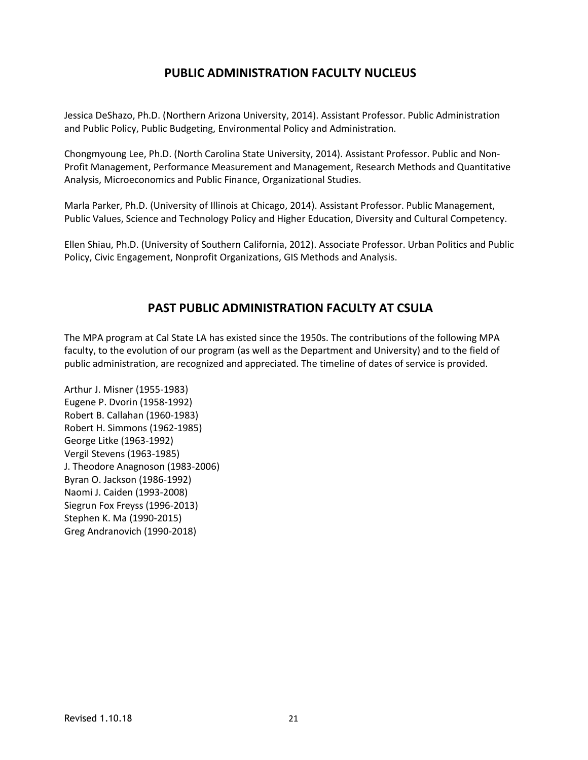# **PUBLIC ADMINISTRATION FACULTY NUCLEUS**

Jessica DeShazo, Ph.D. (Northern Arizona University, 2014). Assistant Professor. Public Administration and Public Policy, Public Budgeting, Environmental Policy and Administration.

Chongmyoung Lee, Ph.D. (North Carolina State University, 2014). Assistant Professor. Public and Non-Profit Management, Performance Measurement and Management, Research Methods and Quantitative Analysis, Microeconomics and Public Finance, Organizational Studies.

Marla Parker, Ph.D. (University of Illinois at Chicago, 2014). Assistant Professor. Public Management, Public Values, Science and Technology Policy and Higher Education, Diversity and Cultural Competency.

Ellen Shiau, Ph.D. (University of Southern California, 2012). Associate Professor. Urban Politics and Public Policy, Civic Engagement, Nonprofit Organizations, GIS Methods and Analysis.

## **PAST PUBLIC ADMINISTRATION FACULTY AT CSULA**

The MPA program at Cal State LA has existed since the 1950s. The contributions of the following MPA faculty, to the evolution of our program (as well as the Department and University) and to the field of public administration, are recognized and appreciated. The timeline of dates of service is provided.

Arthur J. Misner (1955-1983) Eugene P. Dvorin (1958-1992) Robert B. Callahan (1960-1983) Robert H. Simmons (1962-1985) George Litke (1963-1992) Vergil Stevens (1963-1985) J. Theodore Anagnoson (1983-2006) Byran O. Jackson (1986-1992) Naomi J. Caiden (1993-2008) Siegrun Fox Freyss (1996-2013) Stephen K. Ma (1990-2015) Greg Andranovich (1990-2018)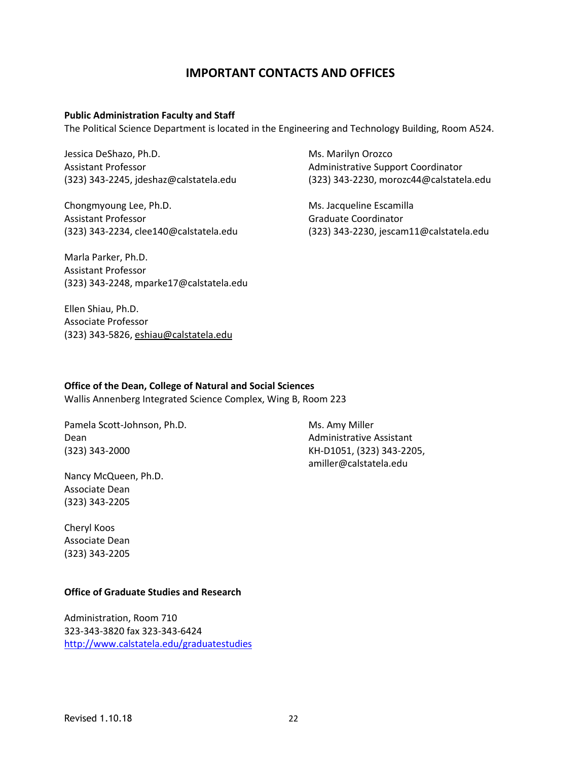## **IMPORTANT CONTACTS AND OFFICES**

#### **Public Administration Faculty and Staff**

The Political Science Department is located in the Engineering and Technology Building, Room A524.

Jessica DeShazo, Ph.D. Assistant Professor (323) 343-2245, jdeshaz@calstatela.edu

Chongmyoung Lee, Ph.D. Assistant Professor (323) 343-2234, clee140@calstatela.edu

Marla Parker, Ph.D. Assistant Professor (323) 343-2248, mparke17@calstatela.edu

Ellen Shiau, Ph.D. Associate Professor (323) 343-5826, [eshiau@calstatela.edu](mailto:eshiau@calstatela.edu)

Ms. Marilyn Orozco Administrative Support Coordinator (323) 343-2230, morozc44@calstatela.edu

Ms. Jacqueline Escamilla Graduate Coordinator (323) 343-2230, jescam11@calstatela.edu

**Office of the Dean, College of Natural and Social Sciences**

Wallis Annenberg Integrated Science Complex, Wing B, Room 223

Pamela Scott-Johnson, Ph.D. Dean (323) 343-2000

Nancy McQueen, Ph.D. Associate Dean (323) 343-2205

Cheryl Koos Associate Dean (323) 343-2205

#### **Office of Graduate Studies and Research**

Administration, Room 710 323-343-3820 fax 323-343-6424 <http://www.calstatela.edu/graduatestudies>

Ms. Amy Miller Administrative Assistant KH-D1051, (323) 343-2205, amiller@calstatela.edu